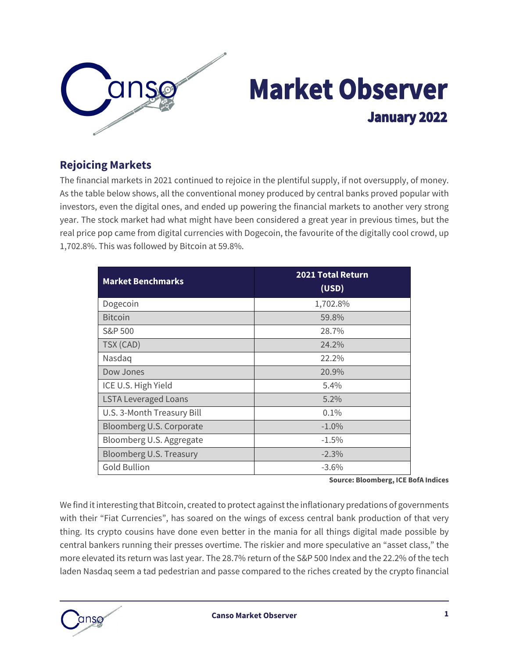

# **Market Observer January 2022**

#### **Rejoicing Markets**

The financial markets in 2021 continued to rejoice in the plentiful supply, if not oversupply, of money. As the table below shows, all the conventional money produced by central banks proved popular with investors, even the digital ones, and ended up powering the financial markets to another very strong year. The stock market had what might have been considered a great year in previous times, but the real price pop came from digital currencies with Dogecoin, the favourite of the digitally cool crowd, up 1,702.8%. This was followed by Bitcoin at 59.8%.

| <b>Market Benchmarks</b>    | <b>2021 Total Return</b><br>(USD) |  |  |
|-----------------------------|-----------------------------------|--|--|
| Dogecoin                    | 1,702.8%                          |  |  |
| <b>Bitcoin</b>              | 59.8%                             |  |  |
| S&P 500                     | 28.7%                             |  |  |
| TSX (CAD)                   | 24.2%                             |  |  |
| Nasdaq                      | 22.2%                             |  |  |
| Dow Jones                   | 20.9%                             |  |  |
| ICE U.S. High Yield         | 5.4%                              |  |  |
| <b>LSTA Leveraged Loans</b> | $5.2\%$                           |  |  |
| U.S. 3-Month Treasury Bill  | 0.1%                              |  |  |
| Bloomberg U.S. Corporate    | $-1.0\%$                          |  |  |
| Bloomberg U.S. Aggregate    | $-1.5%$                           |  |  |
| Bloomberg U.S. Treasury     | $-2.3%$                           |  |  |
| <b>Gold Bullion</b>         | $-3.6\%$                          |  |  |

**Source: Bloomberg, ICE BofA Indices**

We find it interesting that Bitcoin, created to protect against the inflationary predations of governments with their "Fiat Currencies", has soared on the wings of excess central bank production of that very thing. Its crypto cousins have done even better in the mania for all things digital made possible by central bankers running their presses overtime. The riskier and more speculative an "asset class," the more elevated its return was last year. The 28.7% return of the S&P 500 Index and the 22.2% of the tech laden Nasdaq seem a tad pedestrian and passe compared to the riches created by the crypto financial

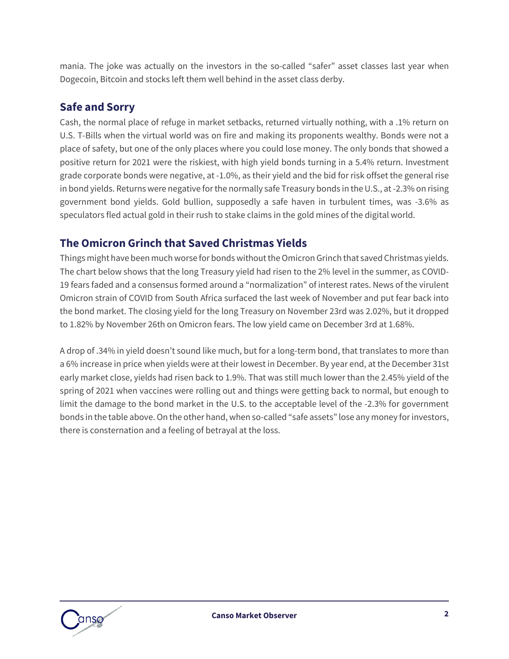mania. The joke was actually on the investors in the so-called "safer" asset classes last year when Dogecoin, Bitcoin and stocks left them well behind in the asset class derby.

#### **Safe and Sorry**

Cash, the normal place of refuge in market setbacks, returned virtually nothing, with a .1% return on U.S. T-Bills when the virtual world was on fire and making its proponents wealthy. Bonds were not a place of safety, but one of the only places where you could lose money. The only bonds that showed a positive return for 2021 were the riskiest, with high yield bonds turning in a 5.4% return. Investment grade corporate bonds were negative, at -1.0%, as their yield and the bid for risk offset the general rise in bond yields. Returns were negative for the normally safe Treasury bonds in the U.S., at -2.3% on rising government bond yields. Gold bullion, supposedly a safe haven in turbulent times, was -3.6% as speculators fled actual gold in their rush to stake claims in the gold mines of the digital world.

## **The Omicron Grinch that Saved Christmas Yields**

Things might have been much worse for bonds without the Omicron Grinch that saved Christmas yields. The chart below shows that the long Treasury yield had risen to the 2% level in the summer, as COVID-19 fears faded and a consensus formed around a "normalization" of interest rates. News of the virulent Omicron strain of COVID from South Africa surfaced the last week of November and put fear back into the bond market. The closing yield for the long Treasury on November 23rd was 2.02%, but it dropped to 1.82% by November 26th on Omicron fears. The low yield came on December 3rd at 1.68%.

A drop of .34% in yield doesn't sound like much, but for a long-term bond, that translates to more than a 6% increase in price when yields were at their lowest in December. By year end, at the December 31st early market close, yields had risen back to 1.9%. That was still much lower than the 2.45% yield of the spring of 2021 when vaccines were rolling out and things were getting back to normal, but enough to limit the damage to the bond market in the U.S. to the acceptable level of the -2.3% for government bonds in the table above.On the other hand, when so-called "safe assets" lose any money for investors, there is consternation and a feeling of betrayal at the loss.

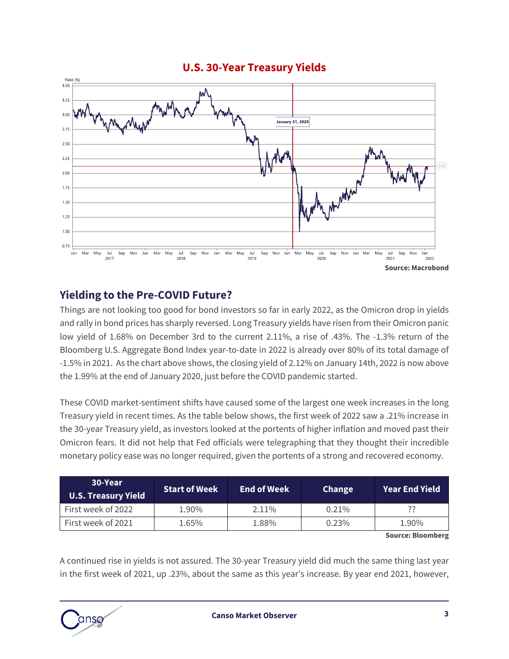

#### **U.S. 30-Year Treasury Yields**

#### **Yielding to the Pre-COVID Future?**

Things are not looking too good for bond investors so far in early 2022, as the Omicron drop in yields and rally in bond prices has sharply reversed. Long Treasury yields have risen from their Omicron panic low yield of 1.68% on December 3rd to the current 2.11%, a rise of .43%. The -1.3% return of the Bloomberg U.S. Aggregate Bond Index year-to-date in 2022 is already over 80% of its total damage of -1.5% in 2021. As the chart above shows, the closing yield of 2.12% on January 14th, 2022 is now above the 1.99% at the end of January 2020, just before the COVID pandemic started.

These COVID market-sentiment shifts have caused some of the largest one week increases in the long Treasury yield in recent times. As the table below shows, the first week of 2022 saw a .21% increase in the 30-year Treasury yield, as investors looked at the portents of higher inflation and moved past their Omicron fears. It did not help that Fed officials were telegraphing that they thought their incredible monetary policy ease was no longer required, given the portents of a strong and recovered economy.

| 30-Year<br><b>U.S. Treasury Yield</b> | <b>Start of Week</b> | <b>End of Week</b> | <b>Change</b> | <b>Year End Yield</b> |
|---------------------------------------|----------------------|--------------------|---------------|-----------------------|
| First week of 2022                    | 1.90%                | $2.11\%$           | $0.21\%$      | ??                    |
| First week of 2021                    | 1.65%                | 1.88%              | 0.23%         | 1.90%                 |

**Source: Bloomberg**

A continued rise in yields is not assured. The 30-year Treasury yield did much the same thing last year in the first week of 2021, up .23%, about the same as this year's increase. By year end 2021, however,

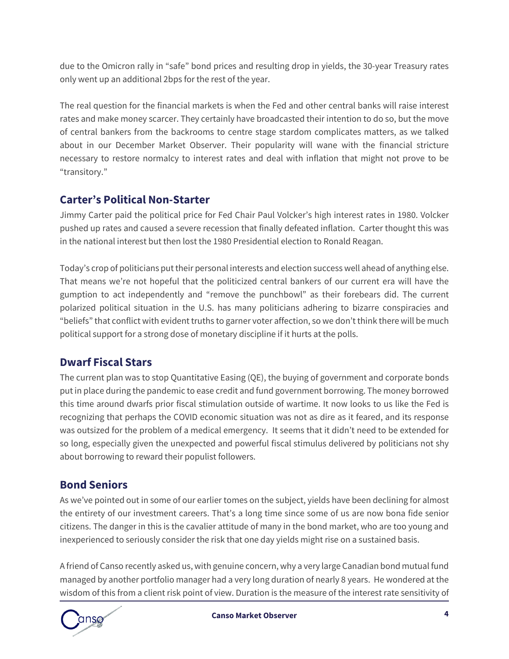due to the Omicron rally in "safe" bond prices and resulting drop in yields, the 30-year Treasury rates only went up an additional 2bps for the rest of the year.

The real question for the financial markets is when the Fed and other central banks will raise interest rates and make money scarcer. They certainly have broadcasted their intention to do so, but the move of central bankers from the backrooms to centre stage stardom complicates matters, as we talked about in our [December Market Observer](https://www.cansofunds.com/canso-market-observer-december-2021/). Their popularity will wane with the financial stricture necessary to restore normalcy to interest rates and deal with inflation that might not prove to be "transitory."

### **Carter's Political Non-Starter**

Jimmy Carter paid the political price for Fed Chair Paul Volcker's high interest rates in 1980. Volcker pushed up rates and caused a severe recession that finally defeated inflation. Carter thought this was in the national interest but then lost the 1980 Presidential election to Ronald Reagan.

Today's crop of politicians put their personal interests and election success well ahead of anything else. That means we're not hopeful that the politicized central bankers of our current era will have the gumption to act independently and "remove the punchbowl" as their forebears did. The current polarized political situation in the U.S. has many politicians adhering to bizarre conspiracies and "beliefs" that conflict with evident truths to garner voter affection, so we don't think there will be much political support for a strong dose of monetary discipline if it hurts at the polls.

### **Dwarf Fiscal Stars**

The current plan was to stop Quantitative Easing (QE), the buying of government and corporate bonds put in place during the pandemic to ease credit and fund government borrowing. The money borrowed this time around dwarfs prior fiscal stimulation outside of wartime. It now looks to us like the Fed is recognizing that perhaps the COVID economic situation was not as dire as it feared, and its response was outsized for the problem of a medical emergency. It seems that it didn't need to be extended for so long, especially given the unexpected and powerful fiscal stimulus delivered by politicians not shy about borrowing to reward their populist followers.

### **Bond Seniors**

As we've pointed out in some of our earlier tomes on the subject, yields have been declining for almost the entirety of our investment careers. That's a long time since some of us are now bona fide senior citizens. The danger in this is the cavalier attitude of many in the bond market, who are too young and inexperienced to seriously consider the risk that one day yields might rise on a sustained basis.

A friend of Canso recently asked us, with genuine concern, why a very large Canadian bond mutual fund managed by another portfolio manager had a very long duration of nearly 8 years. He wondered at the wisdom of this from a client risk point of view. Duration is the measure of the interest rate sensitivity of

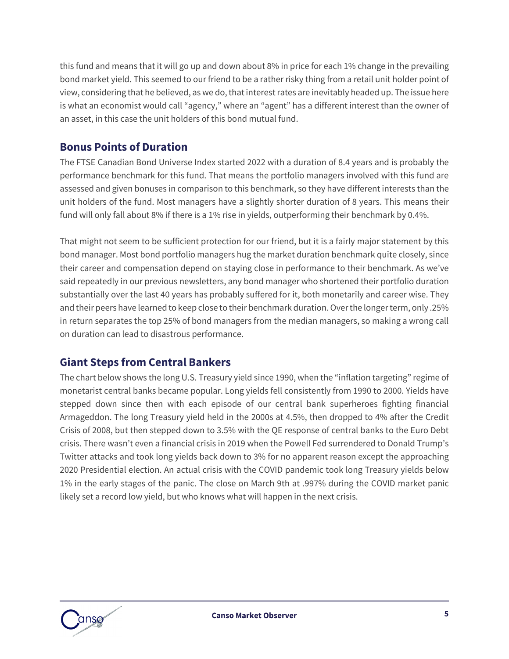this fund and means that it will go up and down about 8% in price for each 1% change in the prevailing bond market yield. This seemed to our friend to be a rather risky thing from a retail unit holder point of view, considering that he believed, as we do, that interest rates are inevitably headed up. The issue here is what an economist would call "agency," where an "agent" has a different interest than the owner of an asset, in this case the unit holders of this bond mutual fund.

#### **Bonus Points of Duration**

The FTSE Canadian Bond Universe Index started 2022 with a duration of 8.4 years and is probably the performance benchmark for this fund. That means the portfolio managers involved with this fund are assessed and given bonuses in comparison to this benchmark, so they have different interests than the unit holders of the fund. Most managers have a slightly shorter duration of 8 years. This means their fund will only fall about 8% if there is a 1% rise in yields, outperforming their benchmark by 0.4%.

That might not seem to be sufficient protection for our friend, but it is a fairly major statement by this bond manager. Most bond portfolio managers hug the market duration benchmark quite closely, since their career and compensation depend on staying close in performance to their benchmark. As we've said repeatedly in our previous newsletters, any bond manager who shortened their portfolio duration substantially over the last 40 years has probably suffered for it, both monetarily and career wise. They and their peers have learned to keep close to their benchmark duration. Over the longer term, only .25% in return separates the top 25% of bond managers from the median managers, so making a wrong call on duration can lead to disastrous performance.

#### **Giant Steps from Central Bankers**

The chart below shows the long U.S. Treasury yield since 1990, when the "inflation targeting" regime of monetarist central banks became popular. Long yields fell consistently from 1990 to 2000. Yields have stepped down since then with each episode of our central bank superheroes fighting financial Armageddon. The long Treasury yield held in the 2000s at 4.5%, then dropped to 4% after the Credit Crisis of 2008, but then stepped down to 3.5% with the QE response of central banks to the Euro Debt crisis. There wasn't even a financial crisis in 2019 when the Powell Fed surrendered to Donald Trump's Twitter attacks and took long yields back down to 3% for no apparent reason except the approaching 2020 Presidential election. An actual crisis with the COVID pandemic took long Treasury yields below 1% in the early stages of the panic. The close on March 9th at .997% during the COVID market panic likely set a record low yield, but who knows what will happen in the next crisis.

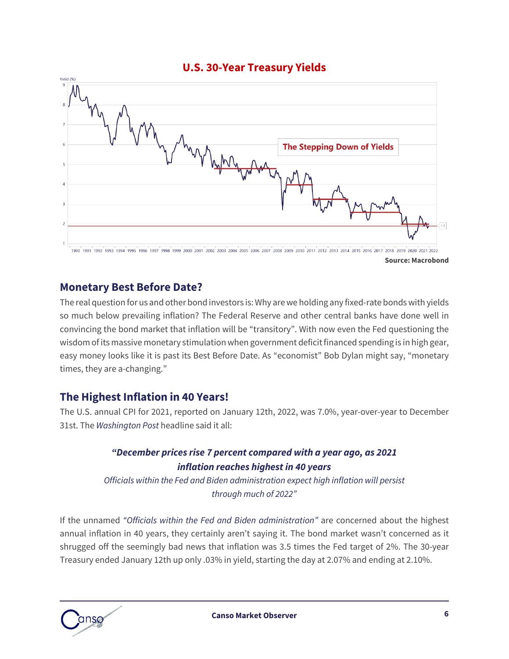

**Source: Macrobond**

#### **Monetary Best Before Date?**

The real question for us and other bond investors is:Why are we holding any fixed-rate bonds with yields so much below prevailing inflation? The Federal Reserve and other central banks have done well in convincing the bond market that inflation will be "transitory". With now even the Fed questioning the wisdom of its massive monetary stimulation when government deficit financed spending is in high gear, easy money looks like it is past its Best Before Date. As "economist" Bob Dylan might say, "monetary times, they are a-changing."

#### **The Highest Inflation in 40 Years!**

The U.S. annual CPI for 2021, reported on January 12th, 2022, was 7.0%, year-over-year to December 31st. The *Washington Post* headline said it all:

#### *"December prices rise 7 percent compared with a year ago, as 2021 inflation reaches highest in 40 years*

*Officials within the Fed and Biden administration expect high inflation will persist through much of 2022"*

If the unnamed *"Officials within the Fed and Biden administration"* are concerned about the highest annual inflation in 40 years, they certainly aren't saying it. The bond market wasn't concerned as it shrugged off the seemingly bad news that inflation was 3.5 times the Fed target of 2%. The 30-year Treasury ended January 12th up only .03% in yield, starting the day at 2.07% and ending at 2.10%.

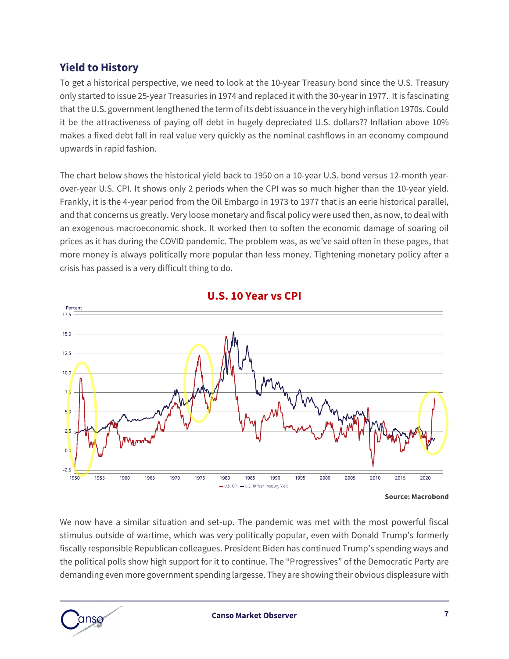#### **Yield to History**

To get a historical perspective, we need to look at the 10-year Treasury bond since the U.S. Treasury only started to issue 25-year Treasuries in 1974 and replaced it with the 30-year in 1977. It is fascinating that the U.S. government lengthened the term of its debt issuance in the very high inflation 1970s. Could it be the attractiveness of paying off debt in hugely depreciated U.S. dollars?? Inflation above 10% makes a fixed debt fall in real value very quickly as the nominal cashflows in an economy compound upwards in rapid fashion.

The chart below shows the historical yield back to 1950 on a 10-year U.S. bond versus 12-month yearover-year U.S. CPI. It shows only 2 periods when the CPI was so much higher than the 10-year yield. Frankly, it is the 4-year period from the Oil Embargo in 1973 to 1977 that is an eerie historical parallel, and that concerns us greatly. Very loose monetary and fiscal policy were used then, as now, to deal with an exogenous macroeconomic shock. It worked then to soften the economic damage of soaring oil prices as it has during the COVID pandemic. The problem was, as we've said often in these pages, that more money is always politically more popular than less money. Tightening monetary policy after a crisis has passed is a very difficult thing to do.





We now have a similar situation and set-up. The pandemic was met with the most powerful fiscal stimulus outside of wartime, which was very politically popular, even with Donald Trump's formerly fiscally responsible Republican colleagues. President Biden has continued Trump's spending ways and the political polls show high support for it to continue. The "Progressives" of the Democratic Party are demanding even more government spending largesse. They are showing their obvious displeasure with



**Source: Macrobond**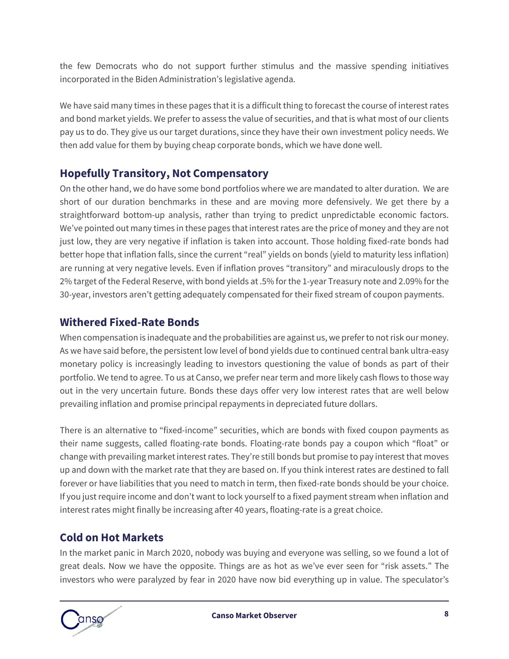the few Democrats who do not support further stimulus and the massive spending initiatives incorporated in the Biden Administration's legislative agenda.

We have said many times in these pages that it is a difficult thing to forecast the course of interest rates and bond market yields. We prefer to assess the value of securities, and that is what most of our clients pay us to do. They give us our target durations, since they have their own investment policy needs. We then add value for them by buying cheap corporate bonds, which we have done well.

#### **Hopefully Transitory, Not Compensatory**

On the other hand, we do have some bond portfolios where we are mandated to alter duration. We are short of our duration benchmarks in these and are moving more defensively. We get there by a straightforward bottom-up analysis, rather than trying to predict unpredictable economic factors. We've pointed out many times in these pages that interest rates are the price of money and they are not just low, they are very negative if inflation is taken into account. Those holding fixed-rate bonds had better hope that inflation falls, since the current "real" yields on bonds (yield to maturity less inflation) are running at very negative levels. Even if inflation proves "transitory" and miraculously drops to the 2% target of the Federal Reserve, with bond yields at .5% for the 1-year Treasury note and 2.09% for the 30-year, investors aren't getting adequately compensated for their fixed stream of coupon payments.

#### **Withered Fixed-Rate Bonds**

When compensation is inadequate and the probabilities are against us, we prefer to not risk our money. As we have said before, the persistent low level of bond yields due to continued central bank ultra-easy monetary policy is increasingly leading to investors questioning the value of bonds as part of their portfolio. We tend to agree. To us at Canso, we prefer near term and more likely cash flows to those way out in the very uncertain future. Bonds these days offer very low interest rates that are well below prevailing inflation and promise principal repayments in depreciated future dollars.

There is an alternative to "fixed-income" securities, which are bonds with fixed coupon payments as their name suggests, called floating-rate bonds. Floating-rate bonds pay a coupon which "float" or change with prevailing market interest rates. They're still bonds but promise to pay interest that moves up and down with the market rate that they are based on. If you think interest rates are destined to fall forever or have liabilities that you need to match in term, then fixed-rate bonds should be your choice. If you just require income and don't want to lock yourself to a fixed payment stream when inflation and interest rates might finally be increasing after 40 years, floating-rate is a great choice.

### **Cold on Hot Markets**

In the market panic in March 2020, nobody was buying and everyone was selling, so we found a lot of great deals. Now we have the opposite. Things are as hot as we've ever seen for "risk assets." The investors who were paralyzed by fear in 2020 have now bid everything up in value. The speculator's

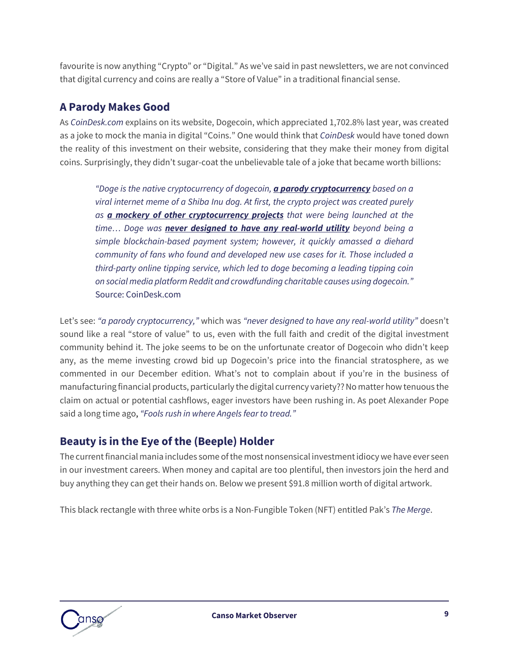favourite is now anything "Crypto" or "Digital." As we've said in past newsletters, we are not convinced that digital currency and coins are really a "Store of Value" in a traditional financial sense.

#### **A Parody Makes Good**

As *CoinDesk.com* explains on its website, Dogecoin, which appreciated 1,702.8% last year, was created as a joke to mock the mania in digital "Coins." One would think that *CoinDesk* would have toned down the reality of this investment on their website, considering that they make their money from digital coins. Surprisingly, they didn't sugar-coat the unbelievable tale of a joke that became worth billions:

*"Doge is the native cryptocurrency of dogecoin, a parody cryptocurrency based on a viral internet meme of a Shiba Inu dog. At first, the crypto project was created purely as a mockery of other cryptocurrency projects that were being launched at the time… Doge was never designed to have any real-world utility beyond being a simple blockchain-based payment system; however, it quickly amassed a diehard community of fans who found and developed new use cases for it. Those included a third-party online tipping service, which led to doge becoming a leading tipping coin on social media platform Reddit and crowdfunding charitable causes using dogecoin."*  Source: CoinDesk.com

Let's see: *"a parody cryptocurrency,"* which was *"never designed to have any real-world utility"* doesn't sound like a real "store of value" to us, even with the full faith and credit of the digital investment community behind it. The joke seems to be on the unfortunate creator of Dogecoin who didn't keep any, as the meme investing crowd bid up Dogecoin's price into the financial stratosphere, as we commented in our [December edition](https://www.cansofunds.com/canso-market-observer-december-2021/). What's not to complain about if you're in the business of manufacturing financial products, particularly the digital currency variety?? No matter how tenuous the claim on actual or potential cashflows, eager investors have been rushing in. As poet Alexander Pope said a long time ago, *"Fools rush in where Angels fear to tread."*

### **Beauty is in the Eye of the (Beeple) Holder**

The current financial mania includes some of the most nonsensical investment idiocy we have ever seen in our investment careers. When money and capital are too plentiful, then investors join the herd and buy anything they can get their hands on. Below we present \$91.8 million worth of digital artwork.

This black rectangle with three white orbs is a Non-Fungible Token (NFT) entitled Pak's *The Merge*.

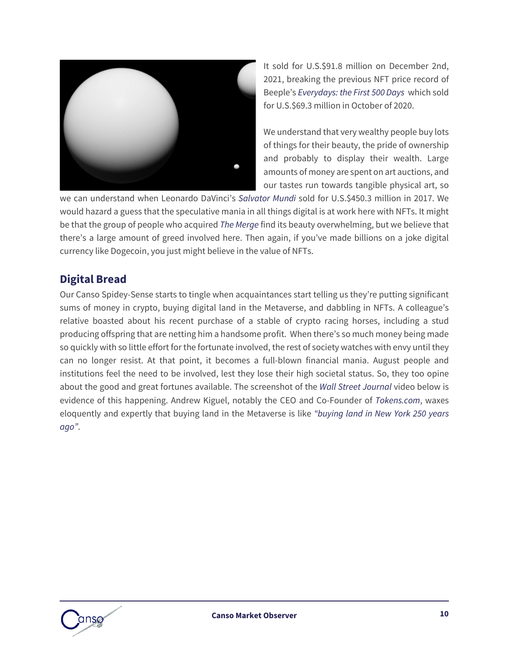

It sold for U.S.\$91.8 million on December 2nd, 2021, breaking the previous NFT price record of Beeple's *Everydays: the First 500 Days* which sold for U.S.\$69.3 million in October of 2020.

We understand that very wealthy people buy lots of things for their beauty, the pride of ownership and probably to display their wealth. Large amounts of money are spent on art auctions, and our tastes run towards tangible physical art, so

we can understand when Leonardo DaVinci's *Salvator Mundi* sold for U.S.\$450.3 million in 2017. We would hazard a guess that the speculative mania in all things digital is at work here with NFTs. It might be that the group of people who acquired *The Merge* find its beauty overwhelming, but we believe that there's a large amount of greed involved here. Then again, if you've made billions on a joke digital currency like Dogecoin, you just might believe in the value of NFTs.

#### **Digital Bread**

Our Canso Spidey-Sense starts to tingle when acquaintances start telling us they're putting significant sums of money in crypto, buying digital land in the Metaverse, and dabbling in NFTs. A colleague's relative boasted about his recent purchase of a stable of crypto racing horses, including a stud producing offspring that are netting him a handsome profit. When there's so much money being made so quickly with so little effort for the fortunate involved, the rest of society watches with envy until they can no longer resist. At that point, it becomes a full-blown financial mania. August people and institutions feel the need to be involved, lest they lose their high societal status. So, they too opine about the good and great fortunes available. The screenshot of the *Wall Street Journal* video below is evidence of this happening. Andrew Kiguel, notably the CEO and Co-Founder of *Tokens.com*, waxes eloquently and expertly that buying land in the Metaverse is like *"buying land in New York 250 years ago"*.

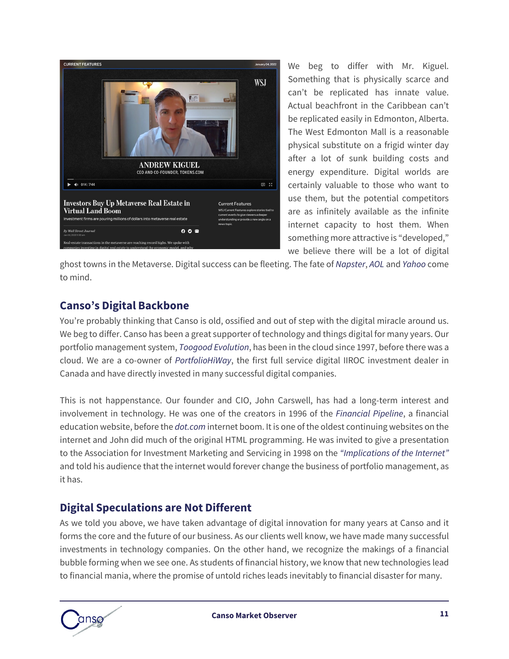

We beg to differ with Mr. Kiguel. Something that is physically scarce and can't be replicated has innate value. Actual beachfront in the Caribbean can't be replicated easily in Edmonton, Alberta. The West Edmonton Mall is a reasonable physical substitute on a frigid winter day after a lot of sunk building costs and energy expenditure. Digital worlds are certainly valuable to those who want to use them, but the potential competitors are as infinitely available as the infinite internet capacity to host them. When something more attractive is "developed," we believe there will be a lot of digital

ghost towns in the Metaverse. Digital success can be fleeting. The fate of *Napster*, *AOL* and *Yahoo* come to mind.

### **Canso's Digital Backbone**

You're probably thinking that Canso is old, ossified and out of step with the digital miracle around us. We beg to differ. Canso has been a great supporter of technology and things digital for many years. Our portfolio management system, *[Toogood Evolution](https://www.toogood.com/)*, has been in the cloud since 1997, before there was a cloud. We are a co-owner of *[PortfolioHiWay](https://www.portfoliohiway.com/)*, the first full service digital IIROC investment dealer in Canada and have directly invested in many successful digital companies.

This is not happenstance. Our founder and CIO, John Carswell, has had a long-term interest and involvement in technology. He was one of the creators in 1996 of the *[Financial Pipeline](https://www.financialpipeline.com/)*, a financial education website, before the *dot.com* internet boom. It is one of the oldest continuing websites on the internet and John did much of the original HTML programming. He was invited to give a presentation to the Association for Investment Marketing and Servicing in 1998 on the *"Implications of the Internet"* and told his audience that the internet would forever change the business of portfolio management, as it has.

#### **Digital Speculations are Not Different**

As we told you above, we have taken advantage of digital innovation for many years at Canso and it forms the core and the future of our business. As our clients well know, we have made many successful investments in technology companies. On the other hand, we recognize the makings of a financial bubble forming when we see one. As students of financial history, we know that new technologies lead to financial mania, where the promise of untold riches leads inevitably to financial disaster for many.

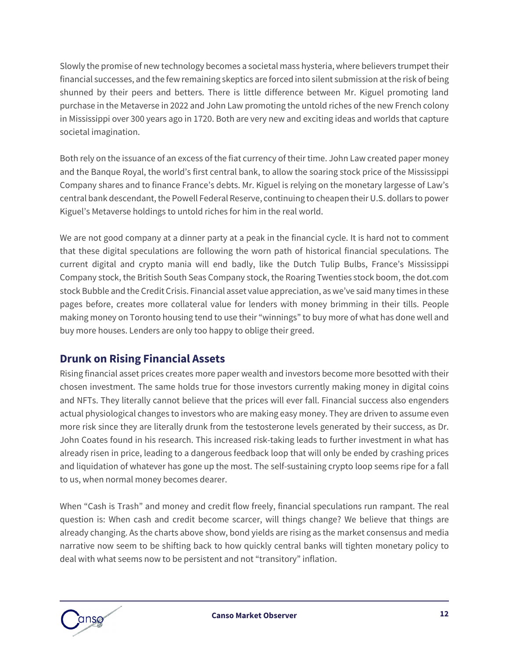Slowly the promise of new technology becomes a societal mass hysteria, where believers trumpet their financial successes, and the few remaining skeptics are forced into silent submission at the risk of being shunned by their peers and betters. There is little difference between Mr. Kiguel promoting land purchase in the Metaverse in 2022 and John Law promoting the untold riches of the new French colony in Mississippi over 300 years ago in 1720. Both are very new and exciting ideas and worlds that capture societal imagination.

Both rely on the issuance of an excess of the fiat currency of their time. John Law created paper money and the Banque Royal, the world's first central bank, to allow the soaring stock price of the Mississippi Company shares and to finance France's debts. Mr. Kiguel is relying on the monetary largesse of Law's central bank descendant, the Powell Federal Reserve, continuing to cheapen their U.S. dollars to power Kiguel's Metaverse holdings to untold riches for him in the real world.

We are not good company at a dinner party at a peak in the financial cycle. It is hard not to comment that these digital speculations are following the worn path of historical financial speculations. The current digital and crypto mania will end badly, like the Dutch Tulip Bulbs, France's Mississippi Company stock, the British South Seas Company stock, the Roaring Twenties stock boom, the dot.com stock Bubble and the Credit Crisis. Financial asset value appreciation, as we've said many times in these pages before, creates more collateral value for lenders with money brimming in their tills. People making money on Toronto housing tend to use their "winnings" to buy more of what has done well and buy more houses. Lenders are only too happy to oblige their greed.

### **Drunk on Rising Financial Assets**

Rising financial asset prices creates more paper wealth and investors become more besotted with their chosen investment. The same holds true for those investors currently making money in digital coins and NFTs. They literally cannot believe that the prices will ever fall. Financial success also engenders actual physiological changes to investors who are making easy money. They are driven to assume even more risk since they are literally drunk from the testosterone levels generated by their success, as Dr. John Coates found in his research. This increased risk-taking leads to further investment in what has already risen in price, leading to a dangerous feedback loop that will only be ended by crashing prices and liquidation of whatever has gone up the most. The self-sustaining crypto loop seems ripe for a fall to us, when normal money becomes dearer.

When "Cash is Trash" and money and credit flow freely, financial speculations run rampant. The real question is: When cash and credit become scarcer, will things change? We believe that things are already changing. As the charts above show, bond yields are rising as the market consensus and media narrative now seem to be shifting back to how quickly central banks will tighten monetary policy to deal with what seems now to be persistent and not "transitory" inflation.

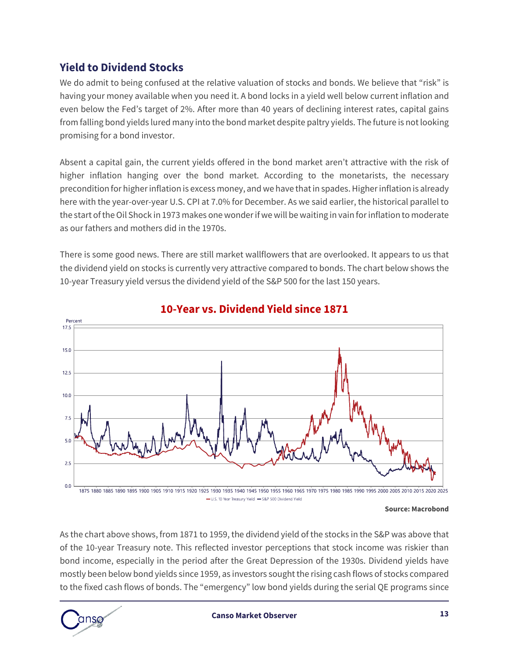#### **Yield to Dividend Stocks**

We do admit to being confused at the relative valuation of stocks and bonds. We believe that "risk" is having your money available when you need it. A bond locks in a yield well below current inflation and even below the Fed's target of 2%. After more than 40 years of declining interest rates, capital gains from falling bond yields lured many into the bond market despite paltry yields. The future is not looking promising for a bond investor.

Absent a capital gain, the current yields offered in the bond market aren't attractive with the risk of higher inflation hanging over the bond market. According to the monetarists, the necessary precondition for higher inflation is excess money, and we have that in spades. Higher inflation is already here with the year-over-year U.S. CPI at 7.0% for December. As we said earlier, the historical parallel to the start of the Oil Shock in 1973 makes one wonder if we will be waiting in vain for inflation to moderate as our fathers and mothers did in the 1970s.

There is some good news. There are still market wallflowers that are overlooked. It appears to us that the dividend yield on stocks is currently very attractive compared to bonds. The chart below shows the 10-year Treasury yield versus the dividend yield of the S&P 500 for the last 150 years.



#### **10-Year vs. Dividend Yield since 1871**

-U.S. 10 Year Treasury Yield - S&P 500 Dividend Yield

#### **Source: Macrobond**

As the chart above shows, from 1871 to 1959, the dividend yield of the stocks in the S&P was above that of the 10-year Treasury note. This reflected investor perceptions that stock income was riskier than bond income, especially in the period after the Great Depression of the 1930s. Dividend yields have mostly been below bond yields since 1959, as investors sought the rising cash flows of stocks compared to the fixed cash flows of bonds. The "emergency" low bond yields during the serial QE programs since

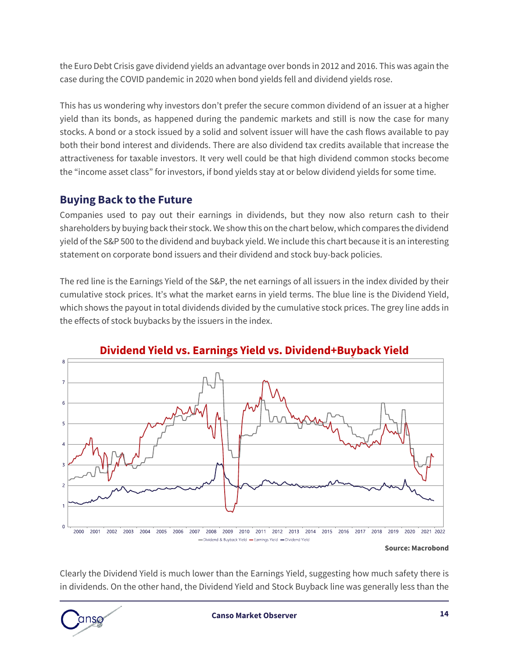the Euro Debt Crisis gave dividend yields an advantage over bonds in 2012 and 2016. This was again the case during the COVID pandemic in 2020 when bond yields fell and dividend yields rose.

This has us wondering why investors don't prefer the secure common dividend of an issuer at a higher yield than its bonds, as happened during the pandemic markets and still is now the case for many stocks. A bond or a stock issued by a solid and solvent issuer will have the cash flows available to pay both their bond interest and dividends. There are also dividend tax credits available that increase the attractiveness for taxable investors. It very well could be that high dividend common stocks become the "income asset class" for investors, if bond yields stay at or below dividend yields for some time.

#### **Buying Back to the Future**

Companies used to pay out their earnings in dividends, but they now also return cash to their shareholders by buying back their stock. We show this on the chart below, which compares the dividend yield of the S&P 500 to the dividend and buyback yield. We include this chart because it is an interesting statement on corporate bond issuers and their dividend and stock buy-back policies.

The red line is the Earnings Yield of the S&P, the net earnings of all issuers in the index divided by their cumulative stock prices. It's what the market earns in yield terms. The blue line is the Dividend Yield, which shows the payout in total dividends divided by the cumulative stock prices. The grey line adds in the effects of stock buybacks by the issuers in the index.



### **Dividend Yield vs. Earnings Yield vs. Dividend+Buyback Yield**

#### **Source: Macrobond**

Clearly the Dividend Yield is much lower than the Earnings Yield, suggesting how much safety there is in dividends. On the other hand, the Dividend Yield and Stock Buyback line was generally less than the

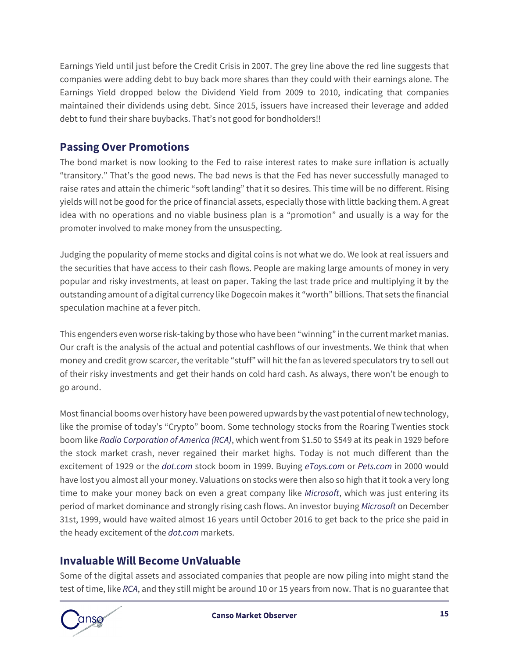Earnings Yield until just before the Credit Crisis in 2007. The grey line above the red line suggests that companies were adding debt to buy back more shares than they could with their earnings alone. The Earnings Yield dropped below the Dividend Yield from 2009 to 2010, indicating that companies maintained their dividends using debt. Since 2015, issuers have increased their leverage and added debt to fund their share buybacks. That's not good for bondholders!!

#### **Passing Over Promotions**

The bond market is now looking to the Fed to raise interest rates to make sure inflation is actually "transitory." That's the good news. The bad news is that the Fed has never successfully managed to raise rates and attain the chimeric "soft landing" that it so desires. This time will be no different. Rising yields will not be good for the price of financial assets, especially those with little backing them. A great idea with no operations and no viable business plan is a "promotion" and usually is a way for the promoter involved to make money from the unsuspecting.

Judging the popularity of meme stocks and digital coins is not what we do. We look at real issuers and the securities that have access to their cash flows. People are making large amounts of money in very popular and risky investments, at least on paper. Taking the last trade price and multiplying it by the outstanding amount of a digital currency like Dogecoin makes it "worth" billions. That sets the financial speculation machine at a fever pitch.

This engenders even worse risk-taking by those who have been "winning" in the current market manias. Our craft is the analysis of the actual and potential cashflows of our investments. We think that when money and credit grow scarcer, the veritable "stuff" will hit the fan as levered speculators try to sell out of their risky investments and get their hands on cold hard cash. As always, there won't be enough to go around.

Most financial booms over history have been powered upwards by the vast potential of new technology, like the promise of today's "Crypto" boom. Some technology stocks from the Roaring Twenties stock boom like *Radio Corporation of America (RCA)*, which went from \$1.50 to \$549 at its peak in 1929 before the stock market crash, never regained their market highs. Today is not much different than the excitement of 1929 or the *dot.com* stock boom in 1999. Buying *eToys.com* or *Pets.com* in 2000 would have lost you almost all your money. Valuations on stocks were then also so high that it took a very long time to make your money back on even a great company like *Microsoft*, which was just entering its period of market dominance and strongly rising cash flows. An investor buying *Microsoft* on December 31st, 1999, would have waited almost 16 years until October 2016 to get back to the price she paid in the heady excitement of the *dot.com* markets.

#### **Invaluable Will Become UnValuable**

Some of the digital assets and associated companies that people are now piling into might stand the test of time, like *RCA*, and they still might be around 10 or 15 years from now. That is no guarantee that

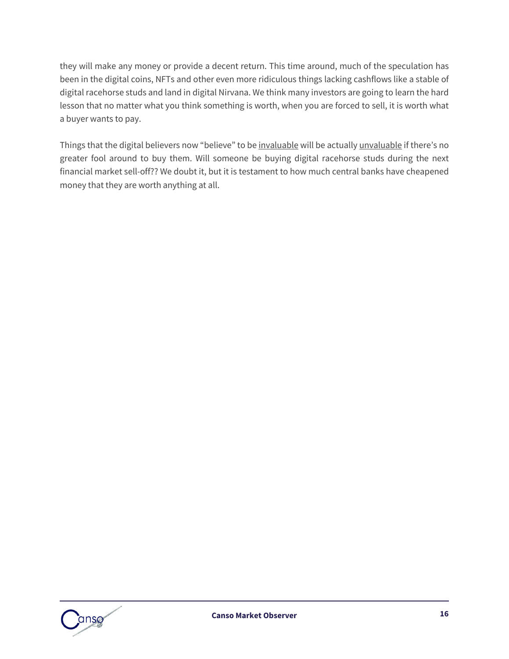they will make any money or provide a decent return. This time around, much of the speculation has been in the digital coins, NFTs and other even more ridiculous things lacking cashflows like a stable of digital racehorse studs and land in digital Nirvana. We think many investors are going to learn the hard lesson that no matter what you think something is worth, when you are forced to sell, it is worth what a buyer wants to pay.

Things that the digital believers now "believe" to be invaluable will be actually unvaluable if there's no greater fool around to buy them. Will someone be buying digital racehorse studs during the next financial market sell-off?? We doubt it, but it is testament to how much central banks have cheapened money that they are worth anything at all.

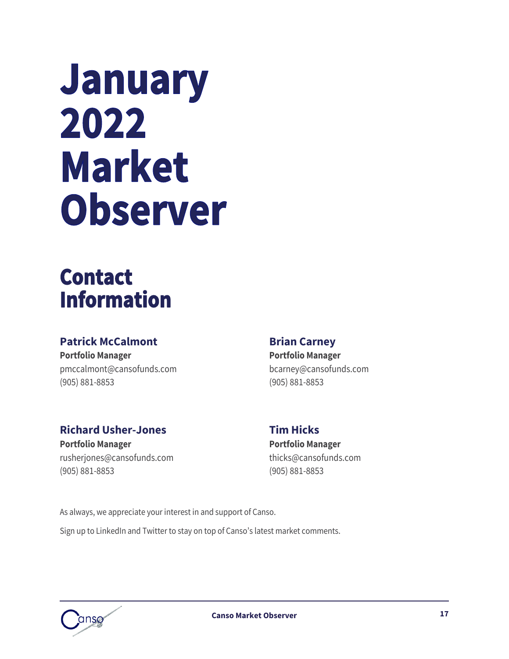# January 2022 **Market** Observer

## **Contact Information**

### **Patrick McCalmont Brian Carney**

**Portfolio Manager Portfolio Manager** [pmccalmont@cansofunds.com](mailto:pmccalmont@cansofunds.com) bcarney@cansofunds.com (905) 881-8853 (905) 881-8853

#### **Richard Usher-Jones Tim Hicks**

**Portfolio Manager Portfolio Manager** [rusherjones@cansofunds.com](mailto:rusherjones@cansofunds.com) thicks@cansofunds.com (905) 881-8853 (905) 881-8853

As always, we appreciate your interest in and support of Canso. Sign up to LinkedIn and Twitter to stay on top of Canso's latest market comments.

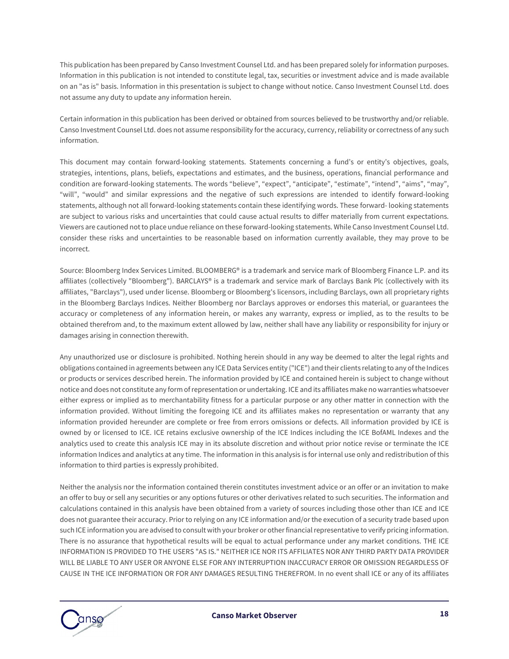This publication has been prepared by Canso Investment Counsel Ltd. and has been prepared solely for information purposes. Information in this publication is not intended to constitute legal, tax, securities or investment advice and is made available on an "as is" basis. Information in this presentation is subject to change without notice. Canso Investment Counsel Ltd. does not assume any duty to update any information herein.

Certain information in this publication has been derived or obtained from sources believed to be trustworthy and/or reliable. Canso Investment Counsel Ltd. does not assume responsibility for the accuracy, currency, reliability or correctness of any such information.

This document may contain forward-looking statements. Statements concerning a fund's or entity's objectives, goals, strategies, intentions, plans, beliefs, expectations and estimates, and the business, operations, financial performance and condition are forward-looking statements. The words "believe", "expect", "anticipate", "estimate", "intend", "aims", "may", "will", "would" and similar expressions and the negative of such expressions are intended to identify forward-looking statements, although not all forward-looking statements contain these identifying words. These forward- looking statements are subject to various risks and uncertainties that could cause actual results to differ materially from current expectations. Viewers are cautioned not to place undue reliance on these forward-looking statements. While Canso Investment Counsel Ltd. consider these risks and uncertainties to be reasonable based on information currently available, they may prove to be incorrect.

Source: Bloomberg Index Services Limited. BLOOMBERG® is a trademark and service mark of Bloomberg Finance L.P. and its affiliates (collectively "Bloomberg"). BARCLAYS® is a trademark and service mark of Barclays Bank Plc (collectively with its affiliates, "Barclays"), used under license. Bloomberg or Bloomberg's licensors, including Barclays, own all proprietary rights in the Bloomberg Barclays Indices. Neither Bloomberg nor Barclays approves or endorses this material, or guarantees the accuracy or completeness of any information herein, or makes any warranty, express or implied, as to the results to be obtained therefrom and, to the maximum extent allowed by law, neither shall have any liability or responsibility for injury or damages arising in connection therewith.

Any unauthorized use or disclosure is prohibited. Nothing herein should in any way be deemed to alter the legal rights and obligations contained in agreements between any ICE Data Services entity ("ICE") and their clients relating to any of the Indices or products or services described herein. The information provided by ICE and contained herein is subject to change without notice and does not constitute any form of representation or undertaking. ICE and its affiliates make no warranties whatsoever either express or implied as to merchantability fitness for a particular purpose or any other matter in connection with the information provided. Without limiting the foregoing ICE and its affiliates makes no representation or warranty that any information provided hereunder are complete or free from errors omissions or defects. All information provided by ICE is owned by or licensed to ICE. ICE retains exclusive ownership of the ICE Indices including the ICE BofAML Indexes and the analytics used to create this analysis ICE may in its absolute discretion and without prior notice revise or terminate the ICE information Indices and analytics at any time. The information in this analysis is for internal use only and redistribution of this information to third parties is expressly prohibited.

Neither the analysis nor the information contained therein constitutes investment advice or an offer or an invitation to make an offer to buy or sell any securities or any options futures or other derivatives related to such securities. The information and calculations contained in this analysis have been obtained from a variety of sources including those other than ICE and ICE does not guarantee their accuracy. Prior to relying on any ICE information and/or the execution of a security trade based upon such ICE information you are advised to consult with your broker or other financial representative to verify pricing information. There is no assurance that hypothetical results will be equal to actual performance under any market conditions. THE ICE INFORMATION IS PROVIDED TO THE USERS "AS IS." NEITHER ICE NOR ITS AFFILIATES NOR ANY THIRD PARTY DATA PROVIDER WILL BE LIABLE TO ANY USER OR ANYONE ELSE FOR ANY INTERRUPTION INACCURACY ERROR OR OMISSION REGARDLESS OF CAUSE IN THE ICE INFORMATION OR FOR ANY DAMAGES RESULTING THEREFROM. In no event shall ICE or any of its affiliates